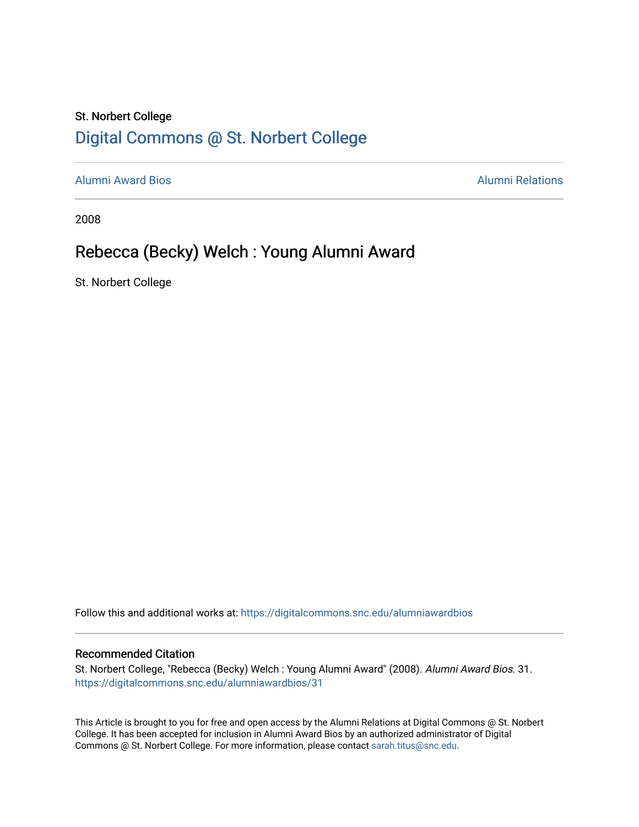## St. Norbert College [Digital Commons @ St. Norbert College](https://digitalcommons.snc.edu/)

[Alumni Award Bios](https://digitalcommons.snc.edu/alumniawardbios) [Alumni Relations](https://digitalcommons.snc.edu/alumni) 

2008

# Rebecca (Becky) Welch : Young Alumni Award

St. Norbert College

Follow this and additional works at: [https://digitalcommons.snc.edu/alumniawardbios](https://digitalcommons.snc.edu/alumniawardbios?utm_source=digitalcommons.snc.edu%2Falumniawardbios%2F31&utm_medium=PDF&utm_campaign=PDFCoverPages)

#### Recommended Citation

St. Norbert College, "Rebecca (Becky) Welch : Young Alumni Award" (2008). Alumni Award Bios. 31. [https://digitalcommons.snc.edu/alumniawardbios/31](https://digitalcommons.snc.edu/alumniawardbios/31?utm_source=digitalcommons.snc.edu%2Falumniawardbios%2F31&utm_medium=PDF&utm_campaign=PDFCoverPages) 

This Article is brought to you for free and open access by the Alumni Relations at Digital Commons @ St. Norbert College. It has been accepted for inclusion in Alumni Award Bios by an authorized administrator of Digital Commons @ St. Norbert College. For more information, please contact [sarah.titus@snc.edu.](mailto:sarah.titus@snc.edu)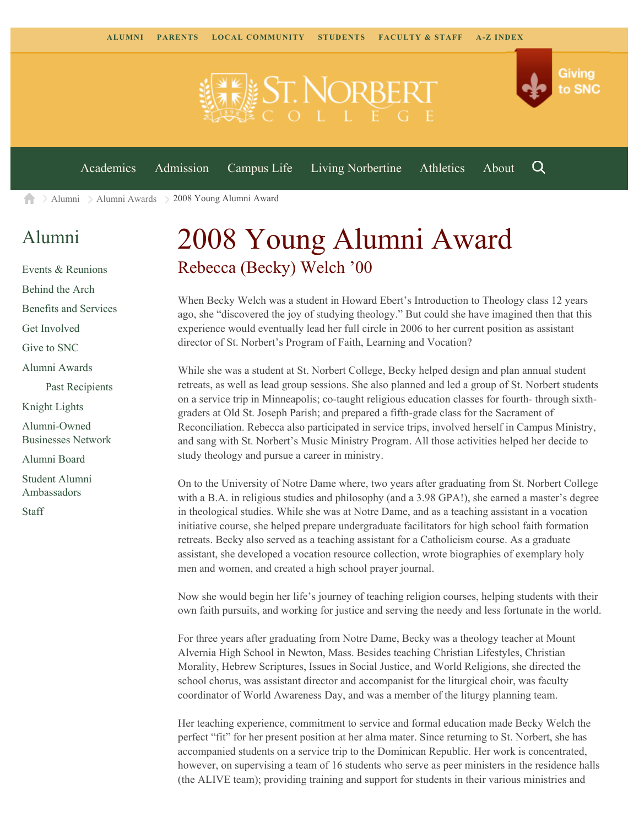

[Alumni](https://www.snc.edu/alumni/) [Alumni Awards](https://www.snc.edu/alumni/awards/) 2008 Young Alumni Award A

### [Alumni](https://www.snc.edu/alumni/index.html)

[Events & Reunions](https://www.snc.edu/alumni/event/index.html) [Behind the Arch](https://www.snc.edu/alumni/event/behindthearch/) [Benefits and Services](https://www.snc.edu/alumni/benefits.html) [Get Involved](https://www.snc.edu/alumni/getinvolved.html) [Give to SNC](http://giving.snc.edu/) [Alumni Awards](https://www.snc.edu/alumni/awards/index.html) [Past Recipients](https://www.snc.edu/alumni/awards/recipients.html) [Knight Lights](https://www.snc.edu/alumni/knightlights/index.html) [Alumni-Owned](https://www.snc.edu/alumni/directory/index.html) [Businesses Network](https://www.snc.edu/alumni/directory/index.html) [Alumni Board](https://www.snc.edu/alumni/alumniboard.html) [Student Alumni](https://www.snc.edu/alumni/saa.html) [Ambassadors](https://www.snc.edu/alumni/saa.html)

[Staff](https://www.snc.edu/alumni/contactus.html)

# 2008 Young Alumni Award Rebecca (Becky) Welch '00

When Becky Welch was a student in Howard Ebert's Introduction to Theology class 12 years ago, she "discovered the joy of studying theology." But could she have imagined then that this experience would eventually lead her full circle in 2006 to her current position as assistant director of St. Norbert's Program of Faith, Learning and Vocation?

While she was a student at St. Norbert College, Becky helped design and plan annual student retreats, as well as lead group sessions. She also planned and led a group of St. Norbert students on a service trip in Minneapolis; co-taught religious education classes for fourth- through sixthgraders at Old St. Joseph Parish; and prepared a fifth-grade class for the Sacrament of Reconciliation. Rebecca also participated in service trips, involved herself in Campus Ministry, and sang with St. Norbert's Music Ministry Program. All those activities helped her decide to study theology and pursue a career in ministry.

On to the University of Notre Dame where, two years after graduating from St. Norbert College with a B.A. in religious studies and philosophy (and a 3.98 GPA!), she earned a master's degree in theological studies. While she was at Notre Dame, and as a teaching assistant in a vocation initiative course, she helped prepare undergraduate facilitators for high school faith formation retreats. Becky also served as a teaching assistant for a Catholicism course. As a graduate assistant, she developed a vocation resource collection, wrote biographies of exemplary holy men and women, and created a high school prayer journal.

Now she would begin her life's journey of teaching religion courses, helping students with their own faith pursuits, and working for justice and serving the needy and less fortunate in the world.

For three years after graduating from Notre Dame, Becky was a theology teacher at Mount Alvernia High School in Newton, Mass. Besides teaching Christian Lifestyles, Christian Morality, Hebrew Scriptures, Issues in Social Justice, and World Religions, she directed the school chorus, was assistant director and accompanist for the liturgical choir, was faculty coordinator of World Awareness Day, and was a member of the liturgy planning team.

Her teaching experience, commitment to service and formal education made Becky Welch the perfect "fit" for her present position at her alma mater. Since returning to St. Norbert, she has accompanied students on a service trip to the Dominican Republic. Her work is concentrated, however, on supervising a team of 16 students who serve as peer ministers in the residence halls (the ALIVE team); providing training and support for students in their various ministries and